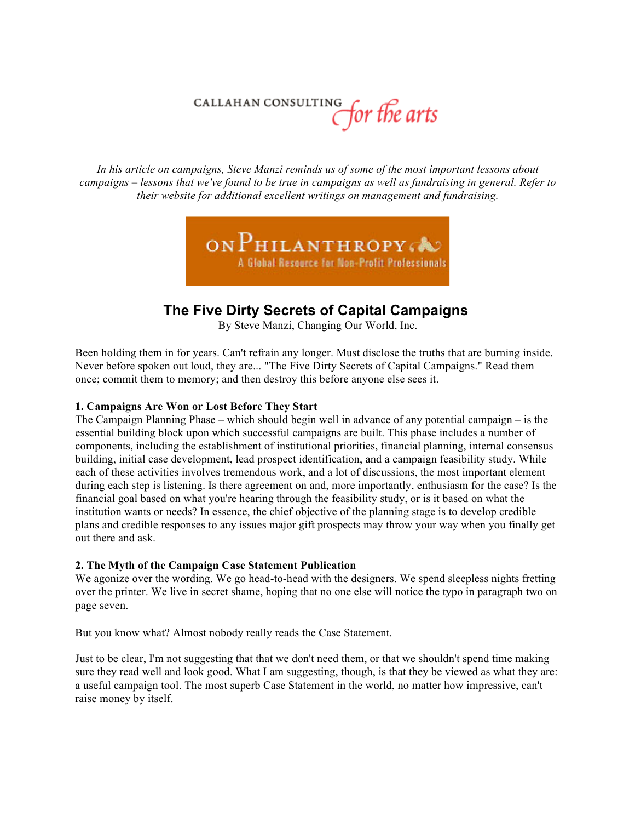# CALLAHAN CONSULTING for the arts

*In his article on campaigns, Steve Manzi reminds us of some of the most important lessons about campaigns – lessons that we've found to be true in campaigns as well as fundraising in general. Refer to their website for additional excellent writings on management and fundraising.*



# **The Five Dirty Secrets of Capital Campaigns**

By Steve Manzi, Changing Our World, Inc.

Been holding them in for years. Can't refrain any longer. Must disclose the truths that are burning inside. Never before spoken out loud, they are... "The Five Dirty Secrets of Capital Campaigns." Read them once; commit them to memory; and then destroy this before anyone else sees it.

### **1. Campaigns Are Won or Lost Before They Start**

The Campaign Planning Phase – which should begin well in advance of any potential campaign – is the essential building block upon which successful campaigns are built. This phase includes a number of components, including the establishment of institutional priorities, financial planning, internal consensus building, initial case development, lead prospect identification, and a campaign feasibility study. While each of these activities involves tremendous work, and a lot of discussions, the most important element during each step is listening. Is there agreement on and, more importantly, enthusiasm for the case? Is the financial goal based on what you're hearing through the feasibility study, or is it based on what the institution wants or needs? In essence, the chief objective of the planning stage is to develop credible plans and credible responses to any issues major gift prospects may throw your way when you finally get out there and ask.

# **2. The Myth of the Campaign Case Statement Publication**

We agonize over the wording. We go head-to-head with the designers. We spend sleepless nights fretting over the printer. We live in secret shame, hoping that no one else will notice the typo in paragraph two on page seven.

But you know what? Almost nobody really reads the Case Statement.

Just to be clear, I'm not suggesting that that we don't need them, or that we shouldn't spend time making sure they read well and look good. What I am suggesting, though, is that they be viewed as what they are: a useful campaign tool. The most superb Case Statement in the world, no matter how impressive, can't raise money by itself.